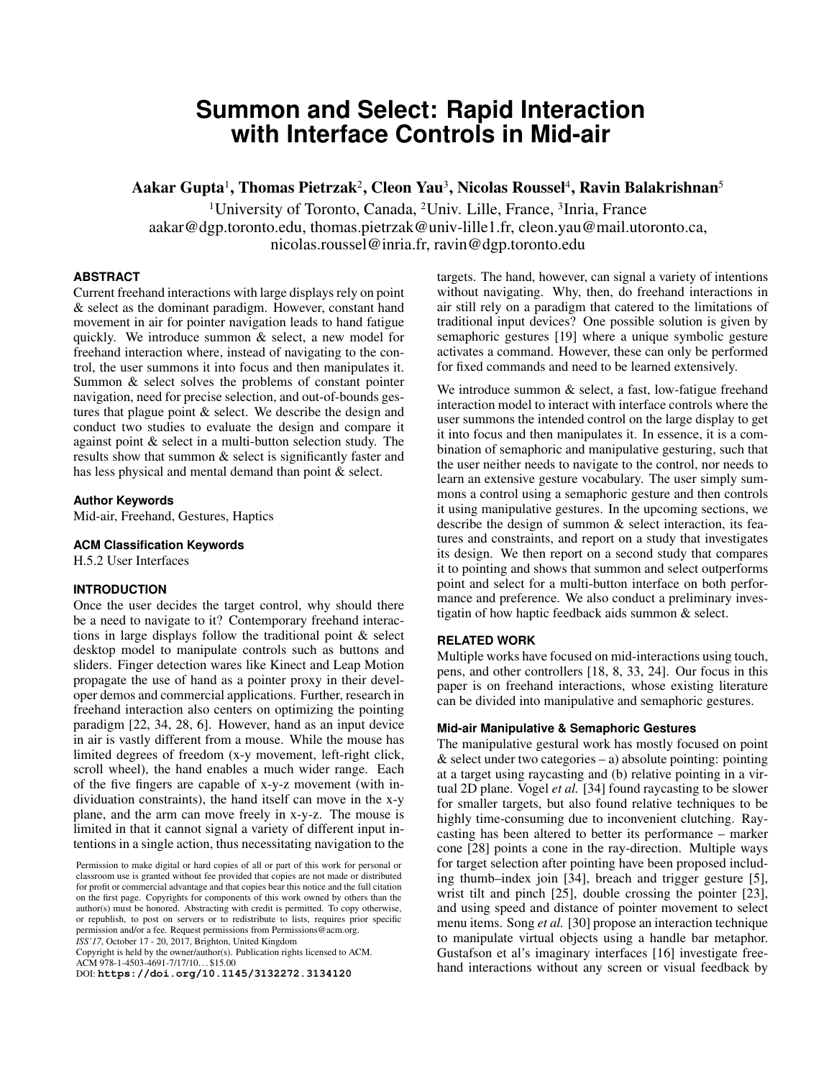# **Summon and Select: Rapid Interaction with Interface Controls in Mid-air**

Aakar Gupta<sup>1</sup>, Thomas Pietrzak<sup>2</sup>, Cleon Yau<sup>3</sup>, Nicolas Roussel<sup>4</sup>, Ravin Balakrishnan<sup>5</sup>

<sup>1</sup>University of Toronto, Canada, <sup>2</sup>Univ. Lille, France, <sup>3</sup>Inria, France aakar@dgp.toronto.edu, thomas.pietrzak@univ-lille1.fr, cleon.yau@mail.utoronto.ca, nicolas.roussel@inria.fr, ravin@dgp.toronto.edu

# **ABSTRACT**

Current freehand interactions with large displays rely on point & select as the dominant paradigm. However, constant hand movement in air for pointer navigation leads to hand fatigue quickly. We introduce summon & select, a new model for freehand interaction where, instead of navigating to the control, the user summons it into focus and then manipulates it. Summon & select solves the problems of constant pointer navigation, need for precise selection, and out-of-bounds gestures that plague point & select. We describe the design and conduct two studies to evaluate the design and compare it against point & select in a multi-button selection study. The results show that summon & select is significantly faster and has less physical and mental demand than point & select.

## **Author Keywords**

Mid-air, Freehand, Gestures, Haptics

## **ACM Classification Keywords**

H.5.2 User Interfaces

# **INTRODUCTION**

Once the user decides the target control, why should there be a need to navigate to it? Contemporary freehand interactions in large displays follow the traditional point & select desktop model to manipulate controls such as buttons and sliders. Finger detection wares like Kinect and Leap Motion propagate the use of hand as a pointer proxy in their developer demos and commercial applications. Further, research in freehand interaction also centers on optimizing the pointing paradigm [\[22,](#page-9-0) [34,](#page-9-1) [28,](#page-9-2) [6\]](#page-9-3). However, hand as an input device in air is vastly different from a mouse. While the mouse has limited degrees of freedom (x-y movement, left-right click, scroll wheel), the hand enables a much wider range. Each of the five fingers are capable of x-y-z movement (with individuation constraints), the hand itself can move in the x-y plane, and the arm can move freely in x-y-z. The mouse is limited in that it cannot signal a variety of different input intentions in a single action, thus necessitating navigation to the

Permission to make digital or hard copies of all or part of this work for personal or classroom use is granted without fee provided that copies are not made or distributed for profit or commercial advantage and that copies bear this notice and the full citation on the first page. Copyrights for components of this work owned by others than the author(s) must be honored. Abstracting with credit is permitted. To copy otherwise, or republish, to post on servers or to redistribute to lists, requires prior specific permission and/or a fee. Request permissions from Permissions@acm.org. *ISS'17*, October 17 - 20, 2017, Brighton, United Kingdom

Copyright is held by the owner/author(s). Publication rights licensed to ACM. ACM 978-1-4503-4691-7/17/10. . . \$15.00

DOI: **<https://doi.org/10.1145/3132272.3134120>**

targets. The hand, however, can signal a variety of intentions without navigating. Why, then, do freehand interactions in air still rely on a paradigm that catered to the limitations of traditional input devices? One possible solution is given by semaphoric gestures [\[19\]](#page-9-4) where a unique symbolic gesture activates a command. However, these can only be performed for fixed commands and need to be learned extensively.

We introduce summon & select, a fast, low-fatigue freehand interaction model to interact with interface controls where the user summons the intended control on the large display to get it into focus and then manipulates it. In essence, it is a combination of semaphoric and manipulative gesturing, such that the user neither needs to navigate to the control, nor needs to learn an extensive gesture vocabulary. The user simply summons a control using a semaphoric gesture and then controls it using manipulative gestures. In the upcoming sections, we describe the design of summon & select interaction, its features and constraints, and report on a study that investigates its design. We then report on a second study that compares it to pointing and shows that summon and select outperforms point and select for a multi-button interface on both performance and preference. We also conduct a preliminary investigatin of how haptic feedback aids summon & select.

## **RELATED WORK**

Multiple works have focused on mid-interactions using touch, pens, and other controllers [\[18,](#page-9-5) [8,](#page-9-6) [33,](#page-9-7) [24\]](#page-9-8). Our focus in this paper is on freehand interactions, whose existing literature can be divided into manipulative and semaphoric gestures.

## **Mid-air Manipulative & Semaphoric Gestures**

The manipulative gestural work has mostly focused on point  $&$  select under two categories – a) absolute pointing: pointing at a target using raycasting and (b) relative pointing in a virtual 2D plane. Vogel *et al.* [\[34\]](#page-9-1) found raycasting to be slower for smaller targets, but also found relative techniques to be highly time-consuming due to inconvenient clutching. Raycasting has been altered to better its performance – marker cone [\[28\]](#page-9-2) points a cone in the ray-direction. Multiple ways for target selection after pointing have been proposed including thumb–index join [\[34\]](#page-9-1), breach and trigger gesture [\[5\]](#page-9-9), wrist tilt and pinch [\[25\]](#page-9-10), double crossing the pointer [\[23\]](#page-9-11), and using speed and distance of pointer movement to select menu items. Song *et al.* [\[30\]](#page-9-12) propose an interaction technique to manipulate virtual objects using a handle bar metaphor. Gustafson et al's imaginary interfaces [\[16\]](#page-9-13) investigate freehand interactions without any screen or visual feedback by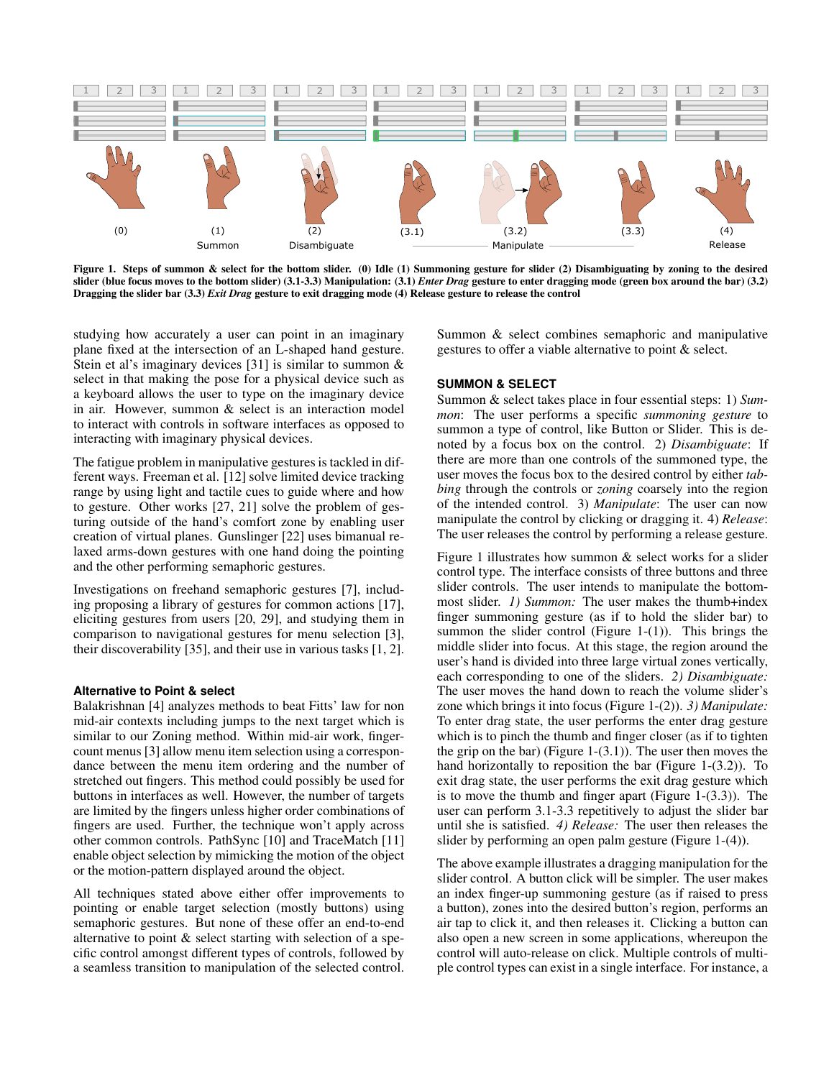<span id="page-1-0"></span>

Figure 1. Steps of summon & select for the bottom slider. (0) Idle (1) Summoning gesture for slider (2) Disambiguating by zoning to the desired slider (blue focus moves to the bottom slider) (3.1-3.3) Manipulation: (3.1) *Enter Drag* gesture to enter dragging mode (green box around the bar) (3.2) Dragging the slider bar (3.3) *Exit Drag* gesture to exit dragging mode (4) Release gesture to release the control

studying how accurately a user can point in an imaginary plane fixed at the intersection of an L-shaped hand gesture. Stein et al's imaginary devices [\[31\]](#page-9-14) is similar to summon  $\&$ select in that making the pose for a physical device such as a keyboard allows the user to type on the imaginary device in air. However, summon & select is an interaction model to interact with controls in software interfaces as opposed to interacting with imaginary physical devices.

The fatigue problem in manipulative gestures is tackled in different ways. Freeman et al. [\[12\]](#page-9-15) solve limited device tracking range by using light and tactile cues to guide where and how to gesture. Other works [\[27,](#page-9-16) [21\]](#page-9-17) solve the problem of gesturing outside of the hand's comfort zone by enabling user creation of virtual planes. Gunslinger [\[22\]](#page-9-0) uses bimanual relaxed arms-down gestures with one hand doing the pointing and the other performing semaphoric gestures.

Investigations on freehand semaphoric gestures [\[7\]](#page-9-18), including proposing a library of gestures for common actions [\[17\]](#page-9-19), eliciting gestures from users [\[20,](#page-9-20) [29\]](#page-9-21), and studying them in comparison to navigational gestures for menu selection [\[3\]](#page-8-0), their discoverability [\[35\]](#page-9-22), and their use in various tasks [\[1,](#page-8-1) [2\]](#page-8-2).

## **Alternative to Point & select**

Balakrishnan [\[4\]](#page-9-23) analyzes methods to beat Fitts' law for non mid-air contexts including jumps to the next target which is similar to our Zoning method. Within mid-air work, fingercount menus [\[3\]](#page-8-0) allow menu item selection using a correspondance between the menu item ordering and the number of stretched out fingers. This method could possibly be used for buttons in interfaces as well. However, the number of targets are limited by the fingers unless higher order combinations of fingers are used. Further, the technique won't apply across other common controls. PathSync [\[10\]](#page-9-24) and TraceMatch [\[11\]](#page-9-25) enable object selection by mimicking the motion of the object or the motion-pattern displayed around the object.

All techniques stated above either offer improvements to pointing or enable target selection (mostly buttons) using semaphoric gestures. But none of these offer an end-to-end alternative to point & select starting with selection of a specific control amongst different types of controls, followed by a seamless transition to manipulation of the selected control.

Summon & select combines semaphoric and manipulative gestures to offer a viable alternative to point & select.

## **SUMMON & SELECT**

Summon & select takes place in four essential steps: 1) *Summon*: The user performs a specific *summoning gesture* to summon a type of control, like Button or Slider. This is denoted by a focus box on the control. 2) *Disambiguate*: If there are more than one controls of the summoned type, the user moves the focus box to the desired control by either *tabbing* through the controls or *zoning* coarsely into the region of the intended control. 3) *Manipulate*: The user can now manipulate the control by clicking or dragging it. 4) *Release*: The user releases the control by performing a release gesture.

Figure [1](#page-1-0) illustrates how summon & select works for a slider control type. The interface consists of three buttons and three slider controls. The user intends to manipulate the bottommost slider. *1) Summon:* The user makes the thumb+index finger summoning gesture (as if to hold the slider bar) to summon the slider control (Figure [1-](#page-1-0) $(1)$ ). This brings the middle slider into focus. At this stage, the region around the user's hand is divided into three large virtual zones vertically, each corresponding to one of the sliders. *2) Disambiguate:* The user moves the hand down to reach the volume slider's zone which brings it into focus (Figure [1-](#page-1-0)(2)). *3) Manipulate:* To enter drag state, the user performs the enter drag gesture which is to pinch the thumb and finger closer (as if to tighten the grip on the bar) (Figure [1-](#page-1-0) $(3.1)$ ). The user then moves the hand horizontally to reposition the bar (Figure [1-](#page-1-0)(3.2)). To exit drag state, the user performs the exit drag gesture which is to move the thumb and finger apart (Figure [1-](#page-1-0)(3.3)). The user can perform 3.1-3.3 repetitively to adjust the slider bar until she is satisfied. *4) Release:* The user then releases the slider by performing an open palm gesture (Figure [1-](#page-1-0)(4)).

The above example illustrates a dragging manipulation for the slider control. A button click will be simpler. The user makes an index finger-up summoning gesture (as if raised to press a button), zones into the desired button's region, performs an air tap to click it, and then releases it. Clicking a button can also open a new screen in some applications, whereupon the control will auto-release on click. Multiple controls of multiple control types can exist in a single interface. For instance, a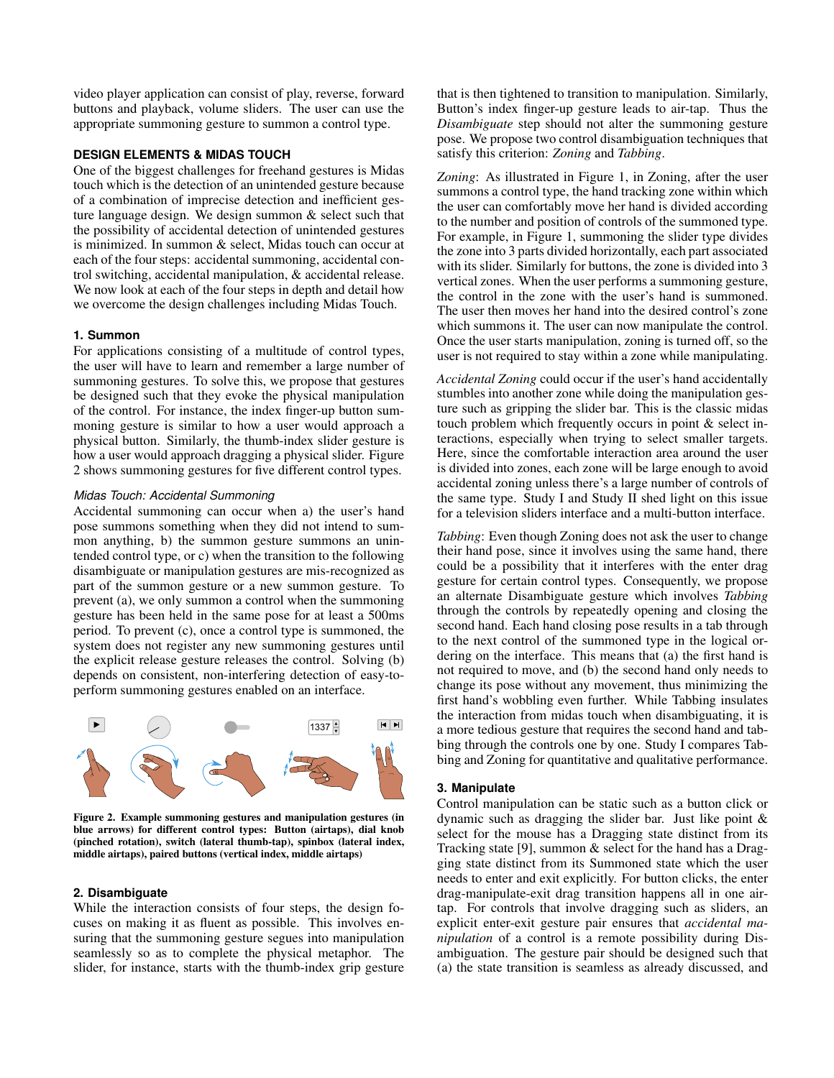video player application can consist of play, reverse, forward buttons and playback, volume sliders. The user can use the appropriate summoning gesture to summon a control type.

## **DESIGN ELEMENTS & MIDAS TOUCH**

One of the biggest challenges for freehand gestures is Midas touch which is the detection of an unintended gesture because of a combination of imprecise detection and inefficient gesture language design. We design summon & select such that the possibility of accidental detection of unintended gestures is minimized. In summon & select, Midas touch can occur at each of the four steps: accidental summoning, accidental control switching, accidental manipulation, & accidental release. We now look at each of the four steps in depth and detail how we overcome the design challenges including Midas Touch.

## **1. Summon**

For applications consisting of a multitude of control types, the user will have to learn and remember a large number of summoning gestures. To solve this, we propose that gestures be designed such that they evoke the physical manipulation of the control. For instance, the index finger-up button summoning gesture is similar to how a user would approach a physical button. Similarly, the thumb-index slider gesture is how a user would approach dragging a physical slider. Figure [2](#page-2-0) shows summoning gestures for five different control types.

# *Midas Touch: Accidental Summoning*

Accidental summoning can occur when a) the user's hand pose summons something when they did not intend to summon anything, b) the summon gesture summons an unintended control type, or c) when the transition to the following disambiguate or manipulation gestures are mis-recognized as part of the summon gesture or a new summon gesture. To prevent (a), we only summon a control when the summoning gesture has been held in the same pose for at least a 500ms period. To prevent (c), once a control type is summoned, the system does not register any new summoning gestures until the explicit release gesture releases the control. Solving (b) depends on consistent, non-interfering detection of easy-toperform summoning gestures enabled on an interface.

<span id="page-2-0"></span>

Figure 2. Example summoning gestures and manipulation gestures (in blue arrows) for different control types: Button (airtaps), dial knob (pinched rotation), switch (lateral thumb-tap), spinbox (lateral index, middle airtaps), paired buttons (vertical index, middle airtaps)

#### **2. Disambiguate**

While the interaction consists of four steps, the design focuses on making it as fluent as possible. This involves ensuring that the summoning gesture segues into manipulation seamlessly so as to complete the physical metaphor. The slider, for instance, starts with the thumb-index grip gesture

that is then tightened to transition to manipulation. Similarly, Button's index finger-up gesture leads to air-tap. Thus the *Disambiguate* step should not alter the summoning gesture pose. We propose two control disambiguation techniques that satisfy this criterion: *Zoning* and *Tabbing*.

*Zoning*: As illustrated in Figure [1,](#page-1-0) in Zoning, after the user summons a control type, the hand tracking zone within which the user can comfortably move her hand is divided according to the number and position of controls of the summoned type. For example, in Figure [1,](#page-1-0) summoning the slider type divides the zone into 3 parts divided horizontally, each part associated with its slider. Similarly for buttons, the zone is divided into 3 vertical zones. When the user performs a summoning gesture, the control in the zone with the user's hand is summoned. The user then moves her hand into the desired control's zone which summons it. The user can now manipulate the control. Once the user starts manipulation, zoning is turned off, so the user is not required to stay within a zone while manipulating.

*Accidental Zoning* could occur if the user's hand accidentally stumbles into another zone while doing the manipulation gesture such as gripping the slider bar. This is the classic midas touch problem which frequently occurs in point & select interactions, especially when trying to select smaller targets. Here, since the comfortable interaction area around the user is divided into zones, each zone will be large enough to avoid accidental zoning unless there's a large number of controls of the same type. Study I and Study II shed light on this issue for a television sliders interface and a multi-button interface.

*Tabbing*: Even though Zoning does not ask the user to change their hand pose, since it involves using the same hand, there could be a possibility that it interferes with the enter drag gesture for certain control types. Consequently, we propose an alternate Disambiguate gesture which involves *Tabbing* through the controls by repeatedly opening and closing the second hand. Each hand closing pose results in a tab through to the next control of the summoned type in the logical ordering on the interface. This means that (a) the first hand is not required to move, and (b) the second hand only needs to change its pose without any movement, thus minimizing the first hand's wobbling even further. While Tabbing insulates the interaction from midas touch when disambiguating, it is a more tedious gesture that requires the second hand and tabbing through the controls one by one. Study I compares Tabbing and Zoning for quantitative and qualitative performance.

## **3. Manipulate**

Control manipulation can be static such as a button click or dynamic such as dragging the slider bar. Just like point & select for the mouse has a Dragging state distinct from its Tracking state [\[9\]](#page-9-26), summon & select for the hand has a Dragging state distinct from its Summoned state which the user needs to enter and exit explicitly. For button clicks, the enter drag-manipulate-exit drag transition happens all in one airtap. For controls that involve dragging such as sliders, an explicit enter-exit gesture pair ensures that *accidental manipulation* of a control is a remote possibility during Disambiguation. The gesture pair should be designed such that (a) the state transition is seamless as already discussed, and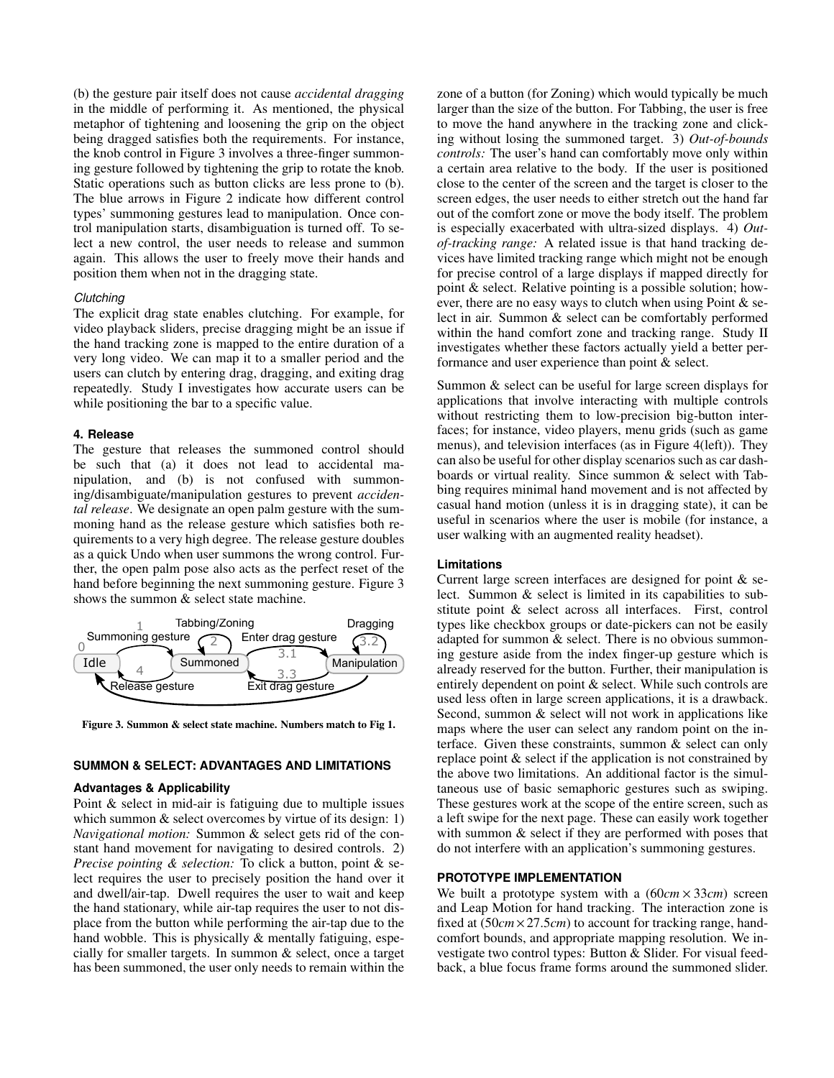(b) the gesture pair itself does not cause *accidental dragging* in the middle of performing it. As mentioned, the physical metaphor of tightening and loosening the grip on the object being dragged satisfies both the requirements. For instance, the knob control in Figure [3](#page-3-0) involves a three-finger summoning gesture followed by tightening the grip to rotate the knob. Static operations such as button clicks are less prone to (b). The blue arrows in Figure 2 indicate how different control types' summoning gestures lead to manipulation. Once control manipulation starts, disambiguation is turned off. To select a new control, the user needs to release and summon again. This allows the user to freely move their hands and position them when not in the dragging state.

## *Clutching*

The explicit drag state enables clutching. For example, for video playback sliders, precise dragging might be an issue if the hand tracking zone is mapped to the entire duration of a very long video. We can map it to a smaller period and the users can clutch by entering drag, dragging, and exiting drag repeatedly. Study I investigates how accurate users can be while positioning the bar to a specific value.

#### **4. Release**

The gesture that releases the summoned control should be such that (a) it does not lead to accidental manipulation, and (b) is not confused with summoning/disambiguate/manipulation gestures to prevent *accidental release*. We designate an open palm gesture with the summoning hand as the release gesture which satisfies both requirements to a very high degree. The release gesture doubles as a quick Undo when user summons the wrong control. Further, the open palm pose also acts as the perfect reset of the hand before beginning the next summoning gesture. Figure [3](#page-3-0) shows the summon  $\&$  select state machine.

<span id="page-3-0"></span>

Figure 3. Summon & select state machine. Numbers match to Fig [1.](#page-1-0)

## **SUMMON & SELECT: ADVANTAGES AND LIMITATIONS**

#### **Advantages & Applicability**

Point & select in mid-air is fatiguing due to multiple issues which summon  $&$  select overcomes by virtue of its design: 1) *Navigational motion:* Summon & select gets rid of the constant hand movement for navigating to desired controls. 2) *Precise pointing & selection:* To click a button, point & select requires the user to precisely position the hand over it and dwell/air-tap. Dwell requires the user to wait and keep the hand stationary, while air-tap requires the user to not displace from the button while performing the air-tap due to the hand wobble. This is physically & mentally fatiguing, especially for smaller targets. In summon & select, once a target has been summoned, the user only needs to remain within the

zone of a button (for Zoning) which would typically be much larger than the size of the button. For Tabbing, the user is free to move the hand anywhere in the tracking zone and clicking without losing the summoned target. 3) *Out-of-bounds controls:* The user's hand can comfortably move only within a certain area relative to the body. If the user is positioned close to the center of the screen and the target is closer to the screen edges, the user needs to either stretch out the hand far out of the comfort zone or move the body itself. The problem is especially exacerbated with ultra-sized displays. 4) *Outof-tracking range:* A related issue is that hand tracking devices have limited tracking range which might not be enough for precise control of a large displays if mapped directly for point & select. Relative pointing is a possible solution; however, there are no easy ways to clutch when using Point & select in air. Summon & select can be comfortably performed within the hand comfort zone and tracking range. Study II investigates whether these factors actually yield a better performance and user experience than point & select.

Summon & select can be useful for large screen displays for applications that involve interacting with multiple controls without restricting them to low-precision big-button interfaces; for instance, video players, menu grids (such as game menus), and television interfaces (as in Figure [4\(](#page-4-0)left)). They can also be useful for other display scenarios such as car dashboards or virtual reality. Since summon & select with Tabbing requires minimal hand movement and is not affected by casual hand motion (unless it is in dragging state), it can be useful in scenarios where the user is mobile (for instance, a user walking with an augmented reality headset).

#### **Limitations**

Current large screen interfaces are designed for point & select. Summon & select is limited in its capabilities to substitute point & select across all interfaces. First, control types like checkbox groups or date-pickers can not be easily adapted for summon & select. There is no obvious summoning gesture aside from the index finger-up gesture which is already reserved for the button. Further, their manipulation is entirely dependent on point & select. While such controls are used less often in large screen applications, it is a drawback. Second, summon & select will not work in applications like maps where the user can select any random point on the interface. Given these constraints, summon & select can only replace point & select if the application is not constrained by the above two limitations. An additional factor is the simultaneous use of basic semaphoric gestures such as swiping. These gestures work at the scope of the entire screen, such as a left swipe for the next page. These can easily work together with summon  $\&$  select if they are performed with poses that do not interfere with an application's summoning gestures.

## **PROTOTYPE IMPLEMENTATION**

We built a prototype system with a (60*cm* × 33*cm*) screen and Leap Motion for hand tracking. The interaction zone is fixed at (50*cm*×27.5*cm*) to account for tracking range, handcomfort bounds, and appropriate mapping resolution. We investigate two control types: Button & Slider. For visual feedback, a blue focus frame forms around the summoned slider.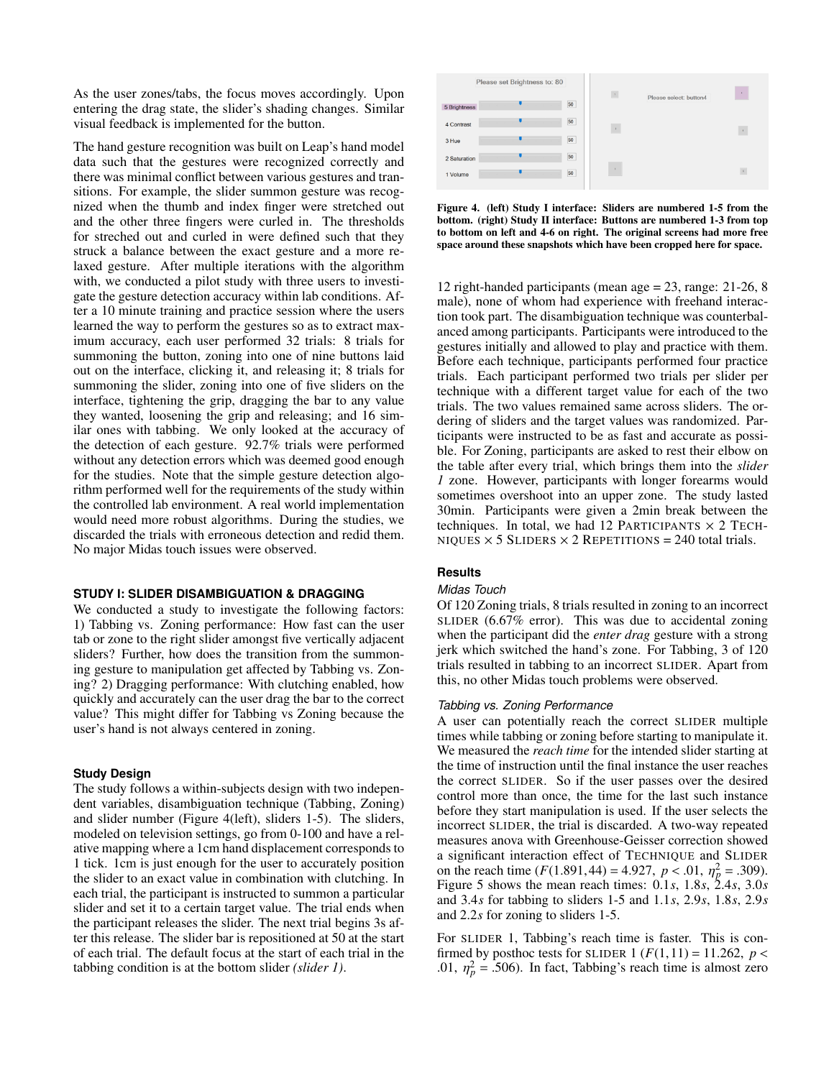As the user zones/tabs, the focus moves accordingly. Upon entering the drag state, the slider's shading changes. Similar visual feedback is implemented for the button.

The hand gesture recognition was built on Leap's hand model data such that the gestures were recognized correctly and there was minimal conflict between various gestures and transitions. For example, the slider summon gesture was recognized when the thumb and index finger were stretched out and the other three fingers were curled in. The thresholds for streched out and curled in were defined such that they struck a balance between the exact gesture and a more relaxed gesture. After multiple iterations with the algorithm with, we conducted a pilot study with three users to investigate the gesture detection accuracy within lab conditions. After a 10 minute training and practice session where the users learned the way to perform the gestures so as to extract maximum accuracy, each user performed 32 trials: 8 trials for summoning the button, zoning into one of nine buttons laid out on the interface, clicking it, and releasing it; 8 trials for summoning the slider, zoning into one of five sliders on the interface, tightening the grip, dragging the bar to any value they wanted, loosening the grip and releasing; and 16 similar ones with tabbing. We only looked at the accuracy of the detection of each gesture. 92.7% trials were performed without any detection errors which was deemed good enough for the studies. Note that the simple gesture detection algorithm performed well for the requirements of the study within the controlled lab environment. A real world implementation would need more robust algorithms. During the studies, we discarded the trials with erroneous detection and redid them. No major Midas touch issues were observed.

## **STUDY I: SLIDER DISAMBIGUATION & DRAGGING**

We conducted a study to investigate the following factors: 1) Tabbing vs. Zoning performance: How fast can the user tab or zone to the right slider amongst five vertically adjacent sliders? Further, how does the transition from the summoning gesture to manipulation get affected by Tabbing vs. Zoning? 2) Dragging performance: With clutching enabled, how quickly and accurately can the user drag the bar to the correct value? This might differ for Tabbing vs Zoning because the user's hand is not always centered in zoning.

#### **Study Design**

The study follows a within-subjects design with two independent variables, disambiguation technique (Tabbing, Zoning) and slider number (Figure [4\(](#page-4-0)left), sliders 1-5). The sliders, modeled on television settings, go from 0-100 and have a relative mapping where a 1cm hand displacement corresponds to 1 tick. 1cm is just enough for the user to accurately position the slider to an exact value in combination with clutching. In each trial, the participant is instructed to summon a particular slider and set it to a certain target value. The trial ends when the participant releases the slider. The next trial begins 3s after this release. The slider bar is repositioned at 50 at the start of each trial. The default focus at the start of each trial in the tabbing condition is at the bottom slider *(slider 1)*.

<span id="page-4-0"></span>

Figure 4. (left) Study I interface: Sliders are numbered 1-5 from the bottom. (right) Study II interface: Buttons are numbered 1-3 from top to bottom on left and 4-6 on right. The original screens had more free space around these snapshots which have been cropped here for space.

12 right-handed participants (mean age = 23, range: 21-26, 8 male), none of whom had experience with freehand interaction took part. The disambiguation technique was counterbalanced among participants. Participants were introduced to the gestures initially and allowed to play and practice with them. Before each technique, participants performed four practice trials. Each participant performed two trials per slider per technique with a different target value for each of the two trials. The two values remained same across sliders. The ordering of sliders and the target values was randomized. Participants were instructed to be as fast and accurate as possible. For Zoning, participants are asked to rest their elbow on the table after every trial, which brings them into the *slider 1* zone. However, participants with longer forearms would sometimes overshoot into an upper zone. The study lasted 30min. Participants were given a 2min break between the techniques. In total, we had 12 PARTICIPANTS  $\times$  2 TECH-NIQUES  $\times$  5 SLIDERS  $\times$  2 REPETITIONS = 240 total trials.

## **Results**

## *Midas Touch*

Of 120 Zoning trials, 8 trials resulted in zoning to an incorrect SLIDER (6.67% error). This was due to accidental zoning when the participant did the *enter drag* gesture with a strong jerk which switched the hand's zone. For Tabbing, 3 of 120 trials resulted in tabbing to an incorrect SLIDER. Apart from this, no other Midas touch problems were observed.

#### *Tabbing vs. Zoning Performance*

A user can potentially reach the correct SLIDER multiple times while tabbing or zoning before starting to manipulate it. We measured the *reach time* for the intended slider starting at the time of instruction until the final instance the user reaches the correct SLIDER. So if the user passes over the desired control more than once, the time for the last such instance before they start manipulation is used. If the user selects the incorrect SLIDER, the trial is discarded. A two-way repeated measures anova with Greenhouse-Geisser correction showed a significant interaction effect of TECHNIQUE and SLIDER on the reach time  $(F(1.891, 44) = 4.927, p < .01, \eta_p^2 = .309)$ .<br>Figure 5 shows the mean reach times: 0.1 s 1.8 s 2.4 s 3.0 s Figure [5](#page-5-0) shows the mean reach times: <sup>0</sup>.1*s*, <sup>1</sup>.8*s*, <sup>2</sup>.4*s*, <sup>3</sup>.0*<sup>s</sup>* and <sup>3</sup>.4*<sup>s</sup>* for tabbing to sliders 1-5 and <sup>1</sup>.1*s*, <sup>2</sup>.9*s*, <sup>1</sup>.8*s*, <sup>2</sup>.9*<sup>s</sup>* and <sup>2</sup>.2*<sup>s</sup>* for zoning to sliders 1-5.

For SLIDER 1, Tabbing's reach time is faster. This is confirmed by posthoc tests for SLIDER 1  $(F(1, 11) = 11.262, p <$ .01,  $\eta_p^2 = .506$ ). In fact, Tabbing's reach time is almost zero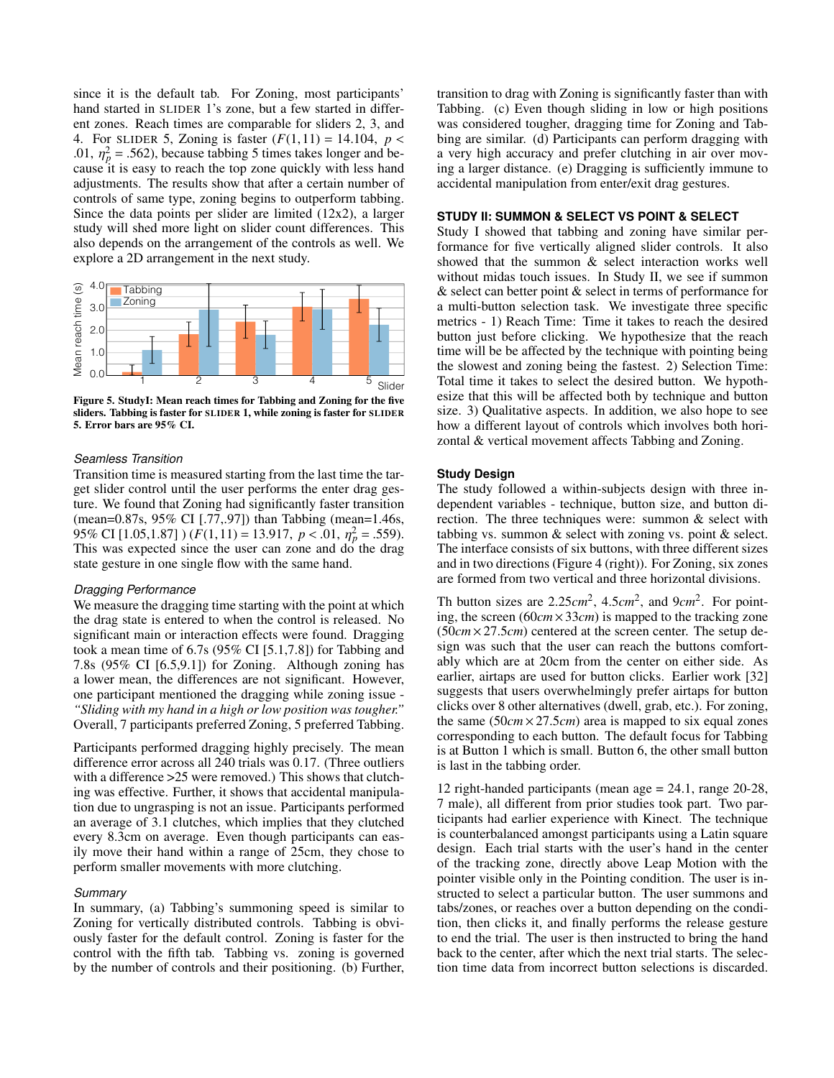since it is the default tab. For Zoning, most participants' hand started in SLIDER 1's zone, but a few started in different zones. Reach times are comparable for sliders 2, 3, and 4. For SLIDER 5, Zoning is faster  $(F(1, 11) = 14.104, p <$ .01,  $\eta_p^2 = .562$ ), because tabbing 5 times takes longer and because it is easy to reach the top zone quickly with less hand cause it is easy to reach the top zone quickly with less hand adjustments. The results show that after a certain number of controls of same type, zoning begins to outperform tabbing. Since the data points per slider are limited (12x2), a larger study will shed more light on slider count differences. This also depends on the arrangement of the controls as well. We explore a 2D arrangement in the next study.

<span id="page-5-0"></span>

Figure 5. StudyI: Mean reach times for Tabbing and Zoning for the five sliders. Tabbing is faster for SLIDER 1, while zoning is faster for SLIDER 5. Error bars are 95% CI.

## *Seamless Transition*

Transition time is measured starting from the last time the target slider control until the user performs the enter drag gesture. We found that Zoning had significantly faster transition (mean=0.87s, 95% CI [.77,.97]) than Tabbing (mean=1.46s, 95% CI [1.05,1.87])  $(F(1,11) = 13.917, p < .01, \eta_p^2 = .559)$ .<br>This was expected since the user can zone and do the drag This was expected since the user can zone and do the drag state gesture in one single flow with the same hand.

## *Dragging Performance*

We measure the dragging time starting with the point at which the drag state is entered to when the control is released. No significant main or interaction effects were found. Dragging took a mean time of 6.7s (95% CI [5.1,7.8]) for Tabbing and 7.8s (95% CI [6.5,9.1]) for Zoning. Although zoning has a lower mean, the differences are not significant. However, one participant mentioned the dragging while zoning issue - *"Sliding with my hand in a high or low position was tougher."* Overall, 7 participants preferred Zoning, 5 preferred Tabbing.

Participants performed dragging highly precisely. The mean difference error across all 240 trials was 0.17. (Three outliers with a difference > 25 were removed.) This shows that clutching was effective. Further, it shows that accidental manipulation due to ungrasping is not an issue. Participants performed an average of 3.1 clutches, which implies that they clutched every 8.3cm on average. Even though participants can easily move their hand within a range of 25cm, they chose to perform smaller movements with more clutching.

#### *Summary*

In summary, (a) Tabbing's summoning speed is similar to Zoning for vertically distributed controls. Tabbing is obviously faster for the default control. Zoning is faster for the control with the fifth tab. Tabbing vs. zoning is governed by the number of controls and their positioning. (b) Further,

transition to drag with Zoning is significantly faster than with Tabbing. (c) Even though sliding in low or high positions was considered tougher, dragging time for Zoning and Tabbing are similar. (d) Participants can perform dragging with a very high accuracy and prefer clutching in air over moving a larger distance. (e) Dragging is sufficiently immune to accidental manipulation from enter/exit drag gestures.

# **STUDY II: SUMMON & SELECT VS POINT & SELECT**

Study I showed that tabbing and zoning have similar performance for five vertically aligned slider controls. It also showed that the summon & select interaction works well without midas touch issues. In Study II, we see if summon & select can better point & select in terms of performance for a multi-button selection task. We investigate three specific metrics - 1) Reach Time: Time it takes to reach the desired button just before clicking. We hypothesize that the reach time will be be affected by the technique with pointing being the slowest and zoning being the fastest. 2) Selection Time: Total time it takes to select the desired button. We hypothesize that this will be affected both by technique and button size. 3) Qualitative aspects. In addition, we also hope to see how a different layout of controls which involves both horizontal & vertical movement affects Tabbing and Zoning.

#### **Study Design**

The study followed a within-subjects design with three independent variables - technique, button size, and button direction. The three techniques were: summon & select with tabbing vs. summon & select with zoning vs. point & select. The interface consists of six buttons, with three different sizes and in two directions (Figure [4](#page-4-0) (right)). For Zoning, six zones are formed from two vertical and three horizontal divisions.

Th button sizes are  $2.25cm^2$ ,  $4.5cm^2$ , and  $9cm^2$ . For pointing, the screen (60*cm*×33*cm*) is mapped to the tracking zone (50*cm* <sup>×</sup>27.5*cm*) centered at the screen center. The setup design was such that the user can reach the buttons comfortably which are at 20cm from the center on either side. As earlier, airtaps are used for button clicks. Earlier work [\[32\]](#page-9-27) suggests that users overwhelmingly prefer airtaps for button clicks over 8 other alternatives (dwell, grab, etc.). For zoning, the same  $(50cm \times 27.5cm)$  area is mapped to six equal zones corresponding to each button. The default focus for Tabbing is at Button 1 which is small. Button 6, the other small button is last in the tabbing order.

12 right-handed participants (mean age = 24.1, range 20-28, 7 male), all different from prior studies took part. Two participants had earlier experience with Kinect. The technique is counterbalanced amongst participants using a Latin square design. Each trial starts with the user's hand in the center of the tracking zone, directly above Leap Motion with the pointer visible only in the Pointing condition. The user is instructed to select a particular button. The user summons and tabs/zones, or reaches over a button depending on the condition, then clicks it, and finally performs the release gesture to end the trial. The user is then instructed to bring the hand back to the center, after which the next trial starts. The selection time data from incorrect button selections is discarded.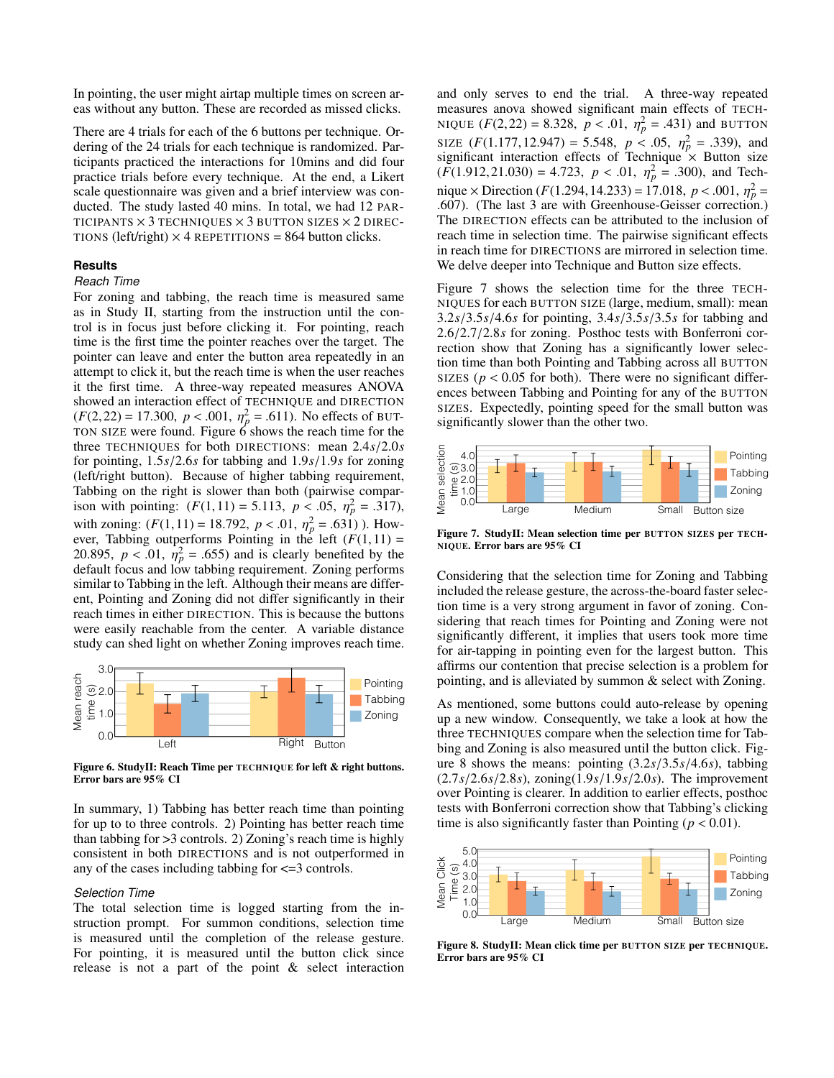In pointing, the user might airtap multiple times on screen areas without any button. These are recorded as missed clicks.

There are 4 trials for each of the 6 buttons per technique. Ordering of the 24 trials for each technique is randomized. Participants practiced the interactions for 10mins and did four practice trials before every technique. At the end, a Likert scale questionnaire was given and a brief interview was conducted. The study lasted 40 mins. In total, we had 12 PAR-TICIPANTS  $\times$  3 TECHNIQUES  $\times$  3 BUTTON SIZES  $\times$  2 DIREC-TIONS (left/right)  $\times$  4 REPETITIONS = 864 button clicks.

#### **Results**

#### *Reach Time*

For zoning and tabbing, the reach time is measured same as in Study II, starting from the instruction until the control is in focus just before clicking it. For pointing, reach time is the first time the pointer reaches over the target. The pointer can leave and enter the button area repeatedly in an attempt to click it, but the reach time is when the user reaches it the first time. A three-way repeated measures ANOVA showed an interaction effect of TECHNIQUE and DIRECTION  $(F(2,22) = 17.300, p < .001, \eta_p^2 = .611)$  $(F(2,22) = 17.300, p < .001, \eta_p^2 = .611)$  $(F(2,22) = 17.300, p < .001, \eta_p^2 = .611)$ . No effects of BUT-<br>TON SIZE were found. Figure 6 shows the reach time for the three TECHNIQUES for both DIRECTIONS: mean <sup>2</sup>.4*s*/2.0*<sup>s</sup>* for pointing, <sup>1</sup>.5*s*/2.6*<sup>s</sup>* for tabbing and <sup>1</sup>.9*s*/1.9*<sup>s</sup>* for zoning (left/right button). Because of higher tabbing requirement, Tabbing on the right is slower than both (pairwise comparison with pointing:  $(F(1,11) = 5.113, p < .05, \eta_p^2 = .317)$ ,<br>with gening:  $(F(1,11) = 18.702, p < 0.1, \eta_p^2 = .511)$ . How with zoning:  $(F(1, 11) = 18.792, p < .01, \eta_p^2 = .631)$ ). How-<br>ever Tabbing outperforms Pointing in the left  $(F(1, 11)) =$ ever, Tabbing outperforms Pointing in the left  $(F(1,11) =$ 20.895,  $p < .01$ ,  $\hat{\eta}^2 = .655$ ) and is clearly benefited by the default focus and low tabbing requirement. Zoning performs default focus and low tabbing requirement. Zoning performs similar to Tabbing in the left. Although their means are different, Pointing and Zoning did not differ significantly in their reach times in either DIRECTION. This is because the buttons were easily reachable from the center. A variable distance study can shed light on whether Zoning improves reach time.

<span id="page-6-0"></span>

Figure 6. StudyII: Reach Time per TECHNIQUE for left & right buttons. Error bars are 95% CI

In summary, 1) Tabbing has better reach time than pointing for up to to three controls. 2) Pointing has better reach time than tabbing for >3 controls. 2) Zoning's reach time is highly consistent in both DIRECTIONS and is not outperformed in any of the cases including tabbing for  $\leq$ =3 controls.

#### *Selection Time*

The total selection time is logged starting from the instruction prompt. For summon conditions, selection time is measured until the completion of the release gesture. For pointing, it is measured until the button click since release is not a part of the point & select interaction and only serves to end the trial. A three-way repeated measures anova showed significant main effects of TECH-NIQUE  $(F(2,22) = 8.328, p < .01, \eta_p^2 = .431)$  and BUTTON<br>cyr,  $(F(1,177,12,047) = 5.548, p < .05, \eta_p^2 = .230)$  and SIZE  $(F(1.177, 12.947) = 5.548, p < .05, \eta_p^2 = .339)$ , and significant interaction effects of Technique × Button size  $(F(1.912, 21.030) = 4.723, p < .01, \eta_p^2 = .300$ , and Technique y Direction  $(F(1.204, 14.232) = 17.018, p < .001, n^2 = .001$ nique × Direction  $(F(1.294, 14.233) = 17.018, p < .001, \eta_p^2 = 607$  (The last 3 are with Greenhouse-Geisser correction) .607). (The last 3 are with Greenhouse-Geisser correction.) The DIRECTION effects can be attributed to the inclusion of reach time in selection time. The pairwise significant effects in reach time for DIRECTIONS are mirrored in selection time. We delve deeper into Technique and Button size effects.

Figure [7](#page-6-1) shows the selection time for the three TECH-NIQUES for each BUTTON SIZE (large, medium, small): mean <sup>3</sup>.2*s*/3.5*s*/4.6*<sup>s</sup>* for pointing, <sup>3</sup>.4*s*/3.5*s*/3.5*<sup>s</sup>* for tabbing and <sup>2</sup>.6/2.7/2.8*<sup>s</sup>* for zoning. Posthoc tests with Bonferroni correction show that Zoning has a significantly lower selection time than both Pointing and Tabbing across all BUTTON SIZES ( $p < 0.05$  for both). There were no significant differences between Tabbing and Pointing for any of the BUTTON SIZES. Expectedly, pointing speed for the small button was significantly slower than the other two.

<span id="page-6-1"></span>

Figure 7. StudyII: Mean selection time per BUTTON SIZES per TECH-NIQUE. Error bars are 95% CI

Considering that the selection time for Zoning and Tabbing included the release gesture, the across-the-board faster selection time is a very strong argument in favor of zoning. Considering that reach times for Pointing and Zoning were not significantly different, it implies that users took more time for air-tapping in pointing even for the largest button. This affirms our contention that precise selection is a problem for pointing, and is alleviated by summon & select with Zoning.

As mentioned, some buttons could auto-release by opening up a new window. Consequently, we take a look at how the three TECHNIQUES compare when the selection time for Tabbing and Zoning is also measured until the button click. Figure [8](#page-6-2) shows the means: pointing (3.2*s*/3.5*s*/4.6*s*), tabbing (2.7*s*/2.6*s*/2.8*s*), zoning(1.9*s*/1.9*s*/2.0*s*). The improvement over Pointing is clearer. In addition to earlier effects, posthoc tests with Bonferroni correction show that Tabbing's clicking time is also significantly faster than Pointing ( $p < 0.01$ ).

<span id="page-6-2"></span>

Figure 8. StudyII: Mean click time per BUTTON SIZE per TECHNIQUE. Error bars are 95% CI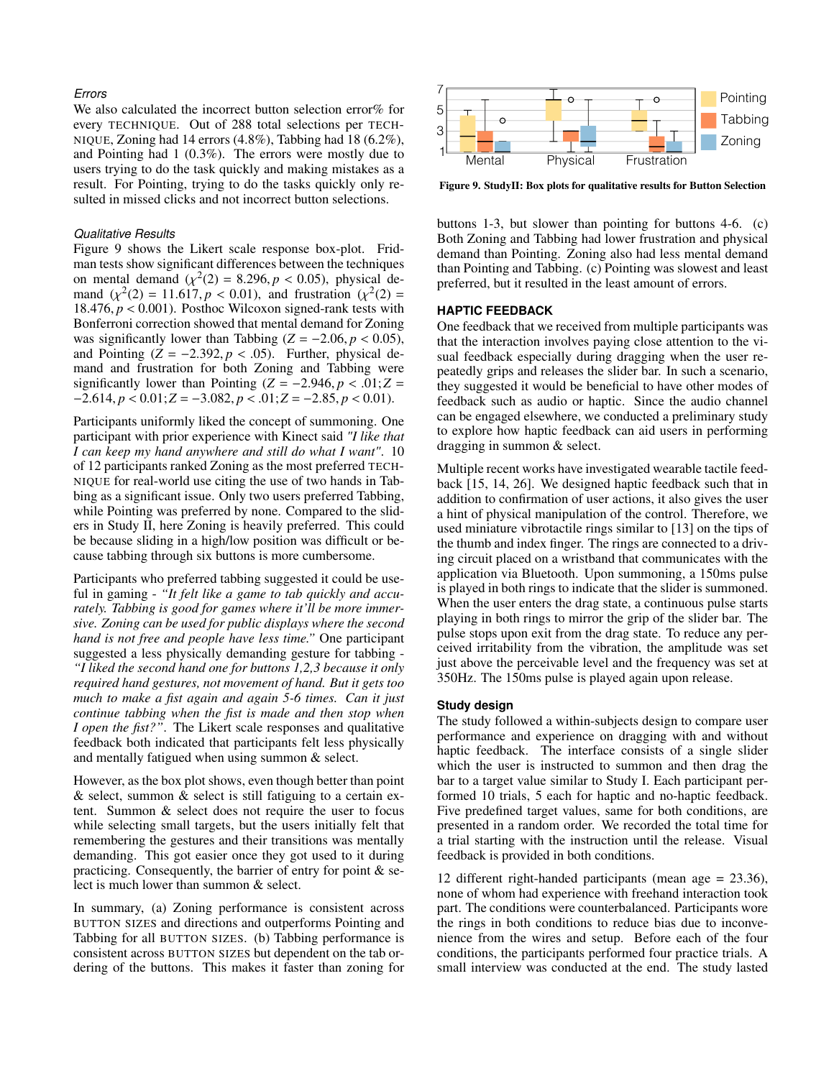## *Errors*

We also calculated the incorrect button selection error% for every TECHNIQUE. Out of 288 total selections per TECH-NIQUE, Zoning had 14 errors (4.8%), Tabbing had 18 (6.2%), and Pointing had 1 (0.3%). The errors were mostly due to users trying to do the task quickly and making mistakes as a result. For Pointing, trying to do the tasks quickly only resulted in missed clicks and not incorrect button selections.

## *Qualitative Results*

Figure [9](#page-7-0) shows the Likert scale response box-plot. Fridman tests show significant differences between the techniques on mental demand  $(\chi^2(2) = 8.296, p < 0.05)$ , physical de-<br>mand  $(\chi^2(2) = 11.617, p < 0.01)$  and frustration  $(\chi^2(2) =$ mand  $(\chi^2(2) = 11.617, p < 0.01)$ , and frustration  $(\chi^2(2) = 18.476, p < 0.001)$ . Postboc Wilcoxon signed-rank tests with 18.476,  $p < 0.001$ ). Posthoc Wilcoxon signed-rank tests with Bonferroni correction showed that mental demand for Zoning was significantly lower than Tabbing  $(Z = -2.06, p < 0.05)$ , and Pointing  $(Z = -2.392, p < .05)$ . Further, physical demand and frustration for both Zoning and Tabbing were significantly lower than Pointing  $(Z = -2.946, p < .01; Z =$ <sup>−</sup>2.614, *<sup>p</sup>* < <sup>0</sup>.01;*<sup>Z</sup>* <sup>=</sup> <sup>−</sup>3.082, *<sup>p</sup>* < .01;*<sup>Z</sup>* <sup>=</sup> <sup>−</sup>2.85, *<sup>p</sup>* < <sup>0</sup>.01).

Participants uniformly liked the concept of summoning. One participant with prior experience with Kinect said *"I like that I can keep my hand anywhere and still do what I want"*. 10 of 12 participants ranked Zoning as the most preferred TECH-NIQUE for real-world use citing the use of two hands in Tabbing as a significant issue. Only two users preferred Tabbing, while Pointing was preferred by none. Compared to the sliders in Study II, here Zoning is heavily preferred. This could be because sliding in a high/low position was difficult or because tabbing through six buttons is more cumbersome.

Participants who preferred tabbing suggested it could be useful in gaming - *"It felt like a game to tab quickly and accurately. Tabbing is good for games where it'll be more immersive. Zoning can be used for public displays where the second hand is not free and people have less time."* One participant suggested a less physically demanding gesture for tabbing - *"I liked the second hand one for buttons 1,2,3 because it only required hand gestures, not movement of hand. But it gets too much to make a fist again and again 5-6 times. Can it just continue tabbing when the fist is made and then stop when I open the fist?"*. The Likert scale responses and qualitative feedback both indicated that participants felt less physically and mentally fatigued when using summon & select.

However, as the box plot shows, even though better than point & select, summon & select is still fatiguing to a certain extent. Summon & select does not require the user to focus while selecting small targets, but the users initially felt that remembering the gestures and their transitions was mentally demanding. This got easier once they got used to it during practicing. Consequently, the barrier of entry for point & select is much lower than summon & select.

In summary, (a) Zoning performance is consistent across BUTTON SIZES and directions and outperforms Pointing and Tabbing for all BUTTON SIZES. (b) Tabbing performance is consistent across BUTTON SIZES but dependent on the tab ordering of the buttons. This makes it faster than zoning for

<span id="page-7-0"></span>

Figure 9. StudyII: Box plots for qualitative results for Button Selection

buttons 1-3, but slower than pointing for buttons 4-6. (c) Both Zoning and Tabbing had lower frustration and physical demand than Pointing. Zoning also had less mental demand than Pointing and Tabbing. (c) Pointing was slowest and least preferred, but it resulted in the least amount of errors.

#### **HAPTIC FEEDBACK**

One feedback that we received from multiple participants was that the interaction involves paying close attention to the visual feedback especially during dragging when the user repeatedly grips and releases the slider bar. In such a scenario, they suggested it would be beneficial to have other modes of feedback such as audio or haptic. Since the audio channel can be engaged elsewhere, we conducted a preliminary study to explore how haptic feedback can aid users in performing dragging in summon & select.

Multiple recent works have investigated wearable tactile feedback [\[15,](#page-9-28) [14,](#page-9-29) [26\]](#page-9-30). We designed haptic feedback such that in addition to confirmation of user actions, it also gives the user a hint of physical manipulation of the control. Therefore, we used miniature vibrotactile rings similar to [\[13\]](#page-9-31) on the tips of the thumb and index finger. The rings are connected to a driving circuit placed on a wristband that communicates with the application via Bluetooth. Upon summoning, a 150ms pulse is played in both rings to indicate that the slider is summoned. When the user enters the drag state, a continuous pulse starts playing in both rings to mirror the grip of the slider bar. The pulse stops upon exit from the drag state. To reduce any perceived irritability from the vibration, the amplitude was set just above the perceivable level and the frequency was set at 350Hz. The 150ms pulse is played again upon release.

### **Study design**

The study followed a within-subjects design to compare user performance and experience on dragging with and without haptic feedback. The interface consists of a single slider which the user is instructed to summon and then drag the bar to a target value similar to Study I. Each participant performed 10 trials, 5 each for haptic and no-haptic feedback. Five predefined target values, same for both conditions, are presented in a random order. We recorded the total time for a trial starting with the instruction until the release. Visual feedback is provided in both conditions.

12 different right-handed participants (mean age = 23.36), none of whom had experience with freehand interaction took part. The conditions were counterbalanced. Participants wore the rings in both conditions to reduce bias due to inconvenience from the wires and setup. Before each of the four conditions, the participants performed four practice trials. A small interview was conducted at the end. The study lasted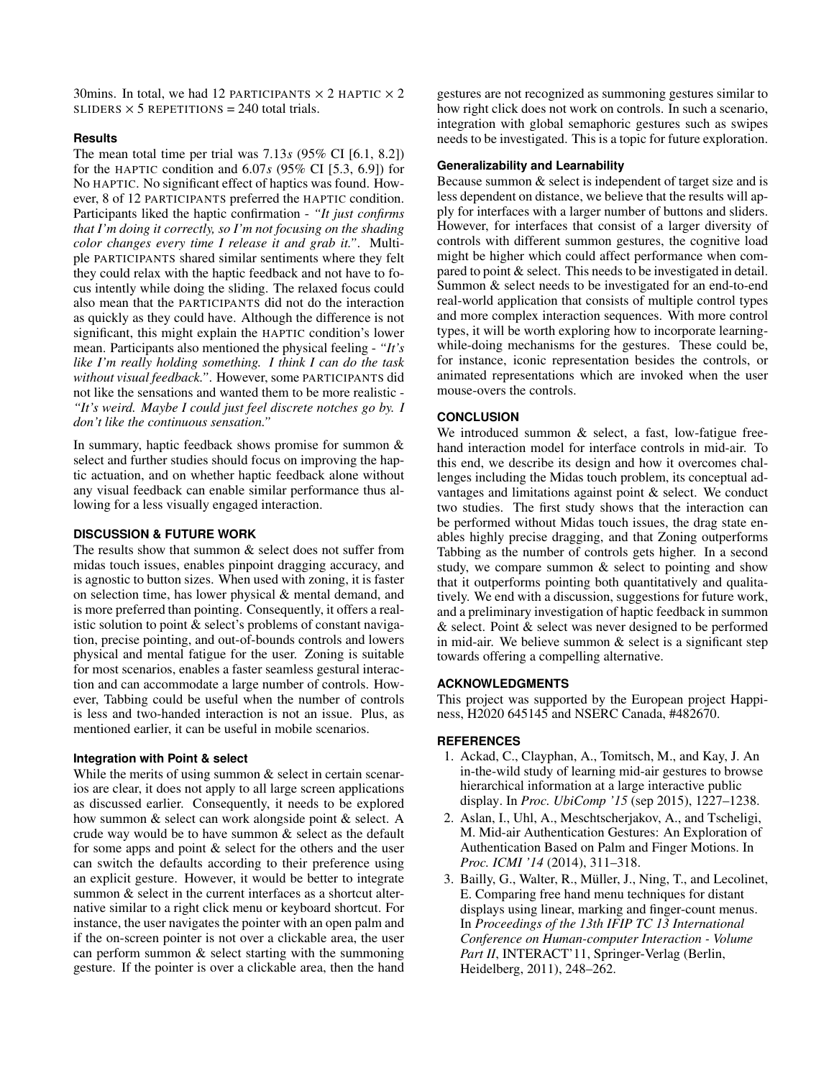30mins. In total, we had 12 PARTICIPANTS  $\times$  2 HAPTIC  $\times$  2 SLIDERS  $\times$  5 REPETITIONS = 240 total trials.

# **Results**

The mean total time per trial was  $7.13s$  ( $95\%$  CI [6.1, 8.2]) for the HAPTIC condition and  $6.07s$  ( $95\%$  CI [5.3, 6.9]) for for the HAPTIC condition and <sup>6</sup>.07*<sup>s</sup>* (95% CI [5.3, 6.9]) for No HAPTIC. No significant effect of haptics was found. However, 8 of 12 PARTICIPANTS preferred the HAPTIC condition. Participants liked the haptic confirmation - *"It just confirms that I'm doing it correctly, so I'm not focusing on the shading color changes every time I release it and grab it."*. Multiple PARTICIPANTS shared similar sentiments where they felt they could relax with the haptic feedback and not have to focus intently while doing the sliding. The relaxed focus could also mean that the PARTICIPANTS did not do the interaction as quickly as they could have. Although the difference is not significant, this might explain the HAPTIC condition's lower mean. Participants also mentioned the physical feeling - *"It's like I'm really holding something. I think I can do the task without visual feedback."*. However, some PARTICIPANTS did not like the sensations and wanted them to be more realistic - *"It's weird. Maybe I could just feel discrete notches go by. I don't like the continuous sensation."*

In summary, haptic feedback shows promise for summon  $\&$ select and further studies should focus on improving the haptic actuation, and on whether haptic feedback alone without any visual feedback can enable similar performance thus allowing for a less visually engaged interaction.

## **DISCUSSION & FUTURE WORK**

The results show that summon & select does not suffer from midas touch issues, enables pinpoint dragging accuracy, and is agnostic to button sizes. When used with zoning, it is faster on selection time, has lower physical & mental demand, and is more preferred than pointing. Consequently, it offers a realistic solution to point & select's problems of constant navigation, precise pointing, and out-of-bounds controls and lowers physical and mental fatigue for the user. Zoning is suitable for most scenarios, enables a faster seamless gestural interaction and can accommodate a large number of controls. However, Tabbing could be useful when the number of controls is less and two-handed interaction is not an issue. Plus, as mentioned earlier, it can be useful in mobile scenarios.

## **Integration with Point & select**

While the merits of using summon  $\&$  select in certain scenarios are clear, it does not apply to all large screen applications as discussed earlier. Consequently, it needs to be explored how summon & select can work alongside point & select. A crude way would be to have summon & select as the default for some apps and point & select for the others and the user can switch the defaults according to their preference using an explicit gesture. However, it would be better to integrate summon & select in the current interfaces as a shortcut alternative similar to a right click menu or keyboard shortcut. For instance, the user navigates the pointer with an open palm and if the on-screen pointer is not over a clickable area, the user can perform summon & select starting with the summoning gesture. If the pointer is over a clickable area, then the hand

gestures are not recognized as summoning gestures similar to how right click does not work on controls. In such a scenario, integration with global semaphoric gestures such as swipes needs to be investigated. This is a topic for future exploration.

## **Generalizability and Learnability**

Because summon & select is independent of target size and is less dependent on distance, we believe that the results will apply for interfaces with a larger number of buttons and sliders. However, for interfaces that consist of a larger diversity of controls with different summon gestures, the cognitive load might be higher which could affect performance when compared to point & select. This needs to be investigated in detail. Summon & select needs to be investigated for an end-to-end real-world application that consists of multiple control types and more complex interaction sequences. With more control types, it will be worth exploring how to incorporate learningwhile-doing mechanisms for the gestures. These could be, for instance, iconic representation besides the controls, or animated representations which are invoked when the user mouse-overs the controls.

# **CONCLUSION**

We introduced summon  $\&$  select, a fast, low-fatigue freehand interaction model for interface controls in mid-air. To this end, we describe its design and how it overcomes challenges including the Midas touch problem, its conceptual advantages and limitations against point & select. We conduct two studies. The first study shows that the interaction can be performed without Midas touch issues, the drag state enables highly precise dragging, and that Zoning outperforms Tabbing as the number of controls gets higher. In a second study, we compare summon & select to pointing and show that it outperforms pointing both quantitatively and qualitatively. We end with a discussion, suggestions for future work, and a preliminary investigation of haptic feedback in summon & select. Point & select was never designed to be performed in mid-air. We believe summon  $\&$  select is a significant step towards offering a compelling alternative.

# **ACKNOWLEDGMENTS**

This project was supported by the European project Happiness, H2020 645145 and NSERC Canada, #482670.

# <span id="page-8-1"></span>**REFERENCES**

- 1. Ackad, C., Clayphan, A., Tomitsch, M., and Kay, J. [An](http://dl.acm.org/citation.cfm?id=2750858.2807532) [in-the-wild study of learning mid-air gestures to browse](http://dl.acm.org/citation.cfm?id=2750858.2807532) [hierarchical information at a large interactive public](http://dl.acm.org/citation.cfm?id=2750858.2807532) [display.](http://dl.acm.org/citation.cfm?id=2750858.2807532) In *Proc. UbiComp '15* (sep 2015), 1227–1238.
- <span id="page-8-2"></span>2. Aslan, I., Uhl, A., Meschtscherjakov, A., and Tscheligi, M. [Mid-air Authentication Gestures: An Exploration of](http://dl.acm.org/citation.cfm?doid=2663204.2663246) [Authentication Based on Palm and Finger Motions.](http://dl.acm.org/citation.cfm?doid=2663204.2663246) In *Proc. ICMI '14* (2014), 311–318.
- <span id="page-8-0"></span>3. Bailly, G., Walter, R., Müller, J., Ning, T., and Lecolinet, E. [Comparing free hand menu techniques for distant](http://dl.acm.org/citation.cfm?id=2042118.2042143) [displays using linear, marking and finger-count menus.](http://dl.acm.org/citation.cfm?id=2042118.2042143) In *Proceedings of the 13th IFIP TC 13 International Conference on Human-computer Interaction - Volume* Part II, INTERACT'11, Springer-Verlag (Berlin, Heidelberg, 2011), 248–262.